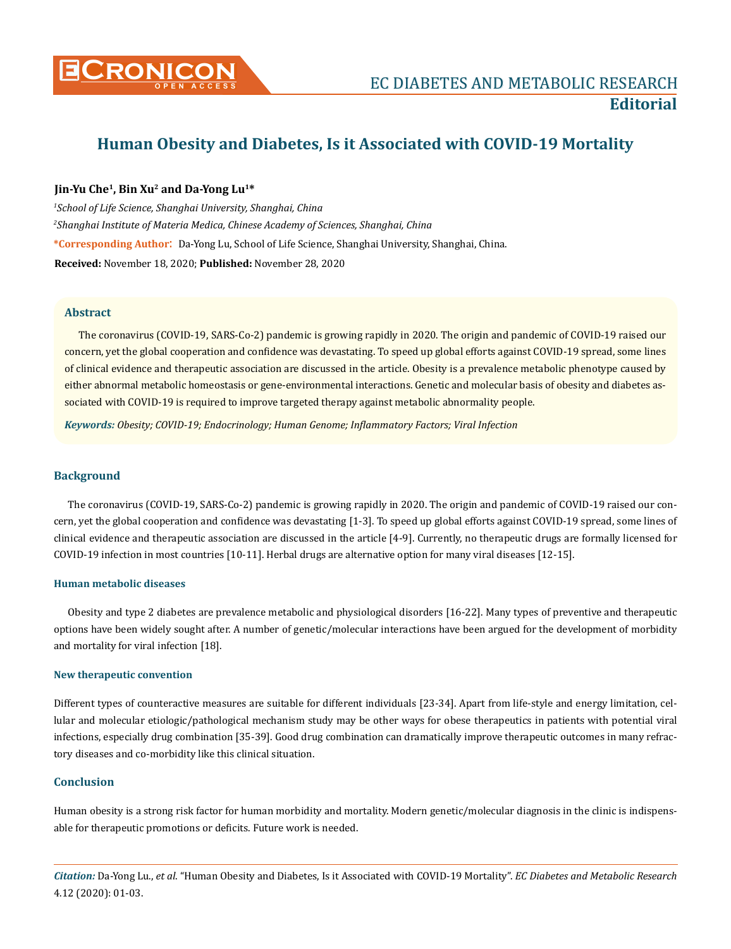

# **Human Obesity and Diabetes, Is it Associated with COVID-19 Mortality**

## **Jin-Yu Che1, Bin Xu2 and Da-Yong Lu1\***

*1 School of Life Science, Shanghai University, Shanghai, China 2 Shanghai Institute of Materia Medica, Chinese Academy of Sciences, Shanghai, China* **\*Corresponding Author**: Da-Yong Lu, School of Life Science, Shanghai University, Shanghai, China. **Received:** November 18, 2020; **Published:** November 28, 2020

#### **Abstract**

The coronavirus (COVID-19, SARS-Co-2) pandemic is growing rapidly in 2020. The origin and pandemic of COVID-19 raised our concern, yet the global cooperation and confidence was devastating. To speed up global efforts against COVID-19 spread, some lines of clinical evidence and therapeutic association are discussed in the article. Obesity is a prevalence metabolic phenotype caused by either abnormal metabolic homeostasis or gene-environmental interactions. Genetic and molecular basis of obesity and diabetes associated with COVID-19 is required to improve targeted therapy against metabolic abnormality people.

*Keywords: Obesity; COVID-19; Endocrinology; Human Genome; Inflammatory Factors; Viral Infection*

### **Background**

The coronavirus (COVID-19, SARS-Co-2) pandemic is growing rapidly in 2020. The origin and pandemic of COVID-19 raised our concern, yet the global cooperation and confidence was devastating [1-3]. To speed up global efforts against COVID-19 spread, some lines of clinical evidence and therapeutic association are discussed in the article [4-9]. Currently, no therapeutic drugs are formally licensed for COVID-19 infection in most countries [10-11]. Herbal drugs are alternative option for many viral diseases [12-15].

#### **Human metabolic diseases**

Obesity and type 2 diabetes are prevalence metabolic and physiological disorders [16-22]. Many types of preventive and therapeutic options have been widely sought after. A number of genetic/molecular interactions have been argued for the development of morbidity and mortality for viral infection [18].

#### **New therapeutic convention**

Different types of counteractive measures are suitable for different individuals [23-34]. Apart from life-style and energy limitation, cellular and molecular etiologic/pathological mechanism study may be other ways for obese therapeutics in patients with potential viral infections, especially drug combination [35-39]. Good drug combination can dramatically improve therapeutic outcomes in many refractory diseases and co-morbidity like this clinical situation.

## **Conclusion**

Human obesity is a strong risk factor for human morbidity and mortality. Modern genetic/molecular diagnosis in the clinic is indispensable for therapeutic promotions or deficits. Future work is needed.

*Citation:* Da-Yong Lu., *et al*. "Human Obesity and Diabetes, Is it Associated with COVID-19 Mortality". *EC Diabetes and Metabolic Research*  4.12 (2020): 01-03.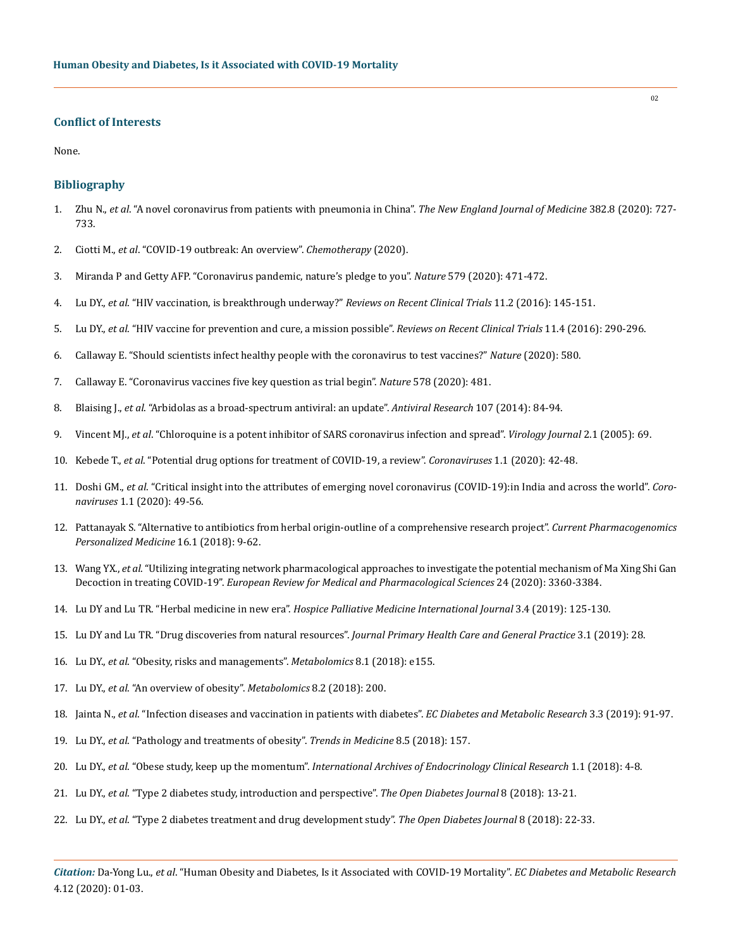#### **Conflict of Interests**

None.

#### **Bibliography**

- 1. Zhu N., *et al*[. "A novel coronavirus from patients with pneumonia in China".](https://www.nejm.org/doi/full/10.1056/nejmoa2001017) *The New England Journal of Medicine* 382.8 (2020): 727- [733.](https://www.nejm.org/doi/full/10.1056/nejmoa2001017)
- 2. Ciotti M., *et al*[. "COVID-19 outbreak: An overview".](https://www.karger.com/Article/FullText/507423) *Chemotherapy* (2020).
- 3. [Miranda P and Getty AFP. "Coronavirus pandemic, nature's pledge to you".](https://www.nature.com/articles/d41586-020-00882-z) *Nature* 579 (2020): 471-472.
- 4. Lu DY., *et al*[. "HIV vaccination, is breakthrough underway?"](https://www.eurekaselect.com/137908/article) *Reviews on Recent Clinical Trials* 11.2 (2016): 145-151.
- 5. Lu DY., *et al*[. "HIV vaccine for prevention and cure, a mission possible".](https://pubmed.ncbi.nlm.nih.gov/27480966/) *Reviews on Recent Clinical Trials* 11.4 (2016): 290-296.
- 6. [Callaway E. "Should scientists infect healthy people with the coronavirus to test vaccines?"](https://www.nature.com/articles/d41586-020-00927-3) *Nature* (2020): 580.
- 7. [Callaway E. "Coronavirus vaccines five key question as trial begin".](https://www.nature.com/articles/d41586-020-00798-8) *Nature* 578 (2020): 481.
- 8. Blaising J., *et al*[. "Arbidolas as a broad-spectrum antiviral: an update".](https://www.sciencedirect.com/science/article/abs/pii/S0166354214001120) *Antiviral Research* 107 (2014): 84-94.
- 9. Vincent MJ., *et al*[. "Chloroquine is a potent inhibitor of SARS coronavirus infection and spread".](https://www.ncbi.nlm.nih.gov/pmc/articles/PMC1232869/) *Virology Journal* 2.1 (2005): 69.
- 10. Kebede T., *et al*[. "Potential drug options for treatment of COVID-19, a review".](https://www.researchgate.net/publication/342634827_Potential_Drug_Options_for_Treatment_Process_of_COVID-19_A_Review) *Coronaviruses* 1.1 (2020): 42-48.
- 11. Doshi GM., *et al*[. "Critical insight into the attributes of emerging novel coronavirus \(COVID-19\):in India and across the world".](https://www.eurekaselect.com/node/183087/article/critical-insight-into-the-attributes-of-emerging-novel-coronavirus-covid-19-in-india-and-across-the-world) *Coronaviruses* [1.1 \(2020\): 49-56.](https://www.eurekaselect.com/node/183087/article/critical-insight-into-the-attributes-of-emerging-novel-coronavirus-covid-19-in-india-and-across-the-world)
- 12. [Pattanayak S. "Alternative to antibiotics from herbal origin-outline of a comprehensive research project".](https://www.eurekaselect.com/node/161427/article/alternative-to-antibiotics-from-herbal-origin-outline-of-a-comprehensive-research-project) *Current Pharmacogenomics [Personalized Medicine](https://www.eurekaselect.com/node/161427/article/alternative-to-antibiotics-from-herbal-origin-outline-of-a-comprehensive-research-project)* 16.1 (2018): 9-62.
- 13. Wang YX., *et al*[. "Utilizing integrating network pharmacological approaches to investigate the potential mechanism of Ma Xing Shi Gan](https://pubmed.ncbi.nlm.nih.gov/32271454/)  Decoction in treating COVID-19". *[European Review for Medical and Pharmacological Sciences](https://pubmed.ncbi.nlm.nih.gov/32271454/)* 24 (2020): 3360-3384.
- 14. Lu DY and Lu TR. "Herbal medicine in new era". *[Hospice Palliative Medicine International Journal](https://medcraveonline.com/HPMIJ/herbal-medicine-in-new-era.html)* 3.4 (2019): 125-130.
- 15. [Lu DY and Lu TR. "Drug discoveries from natural resources".](https://www.researchgate.net/publication/333649721_Drug_Discoveries_from_Natural_Resources) *Journal Primary Health Care and General Practice* 3.1 (2019): 28.
- 16. Lu DY., *et al*. "Obesity, risks and managements". *Metabolomics* 8.1 (2018): e155.
- 17. Lu DY., *et al*. "An overview of obesity". *Metabolomics* 8.2 (2018): 200.
- 18. Jainta N., *et al*. "Infection diseases and vaccination in patients with diabetes". *EC Diabetes and Metabolic Research* 3.3 (2019): 91-97.
- 19. Lu DY., *et al*. "Pathology and treatments of obesity". *Trends in Medicine* 8.5 (2018): 157.
- 20. Lu DY., *et al*. "Obese study, keep up the momentum". *[International Archives of Endocrinology Clinical Research](https://innovationinfo.org/international-journal-of-endocrinology-research/article/Obese-Study-Keeping-up-Momentum)* 1.1 (2018): 4-8.
- 21. Lu DY., *et al*[. "Type 2 diabetes study, introduction and perspective".](https://benthamopen.com/FULLTEXT/TODIAJ-8-13) *The Open Diabetes Journal* 8 (2018): 13-21.
- 22. Lu DY., *et al*[. "Type 2 diabetes treatment and drug development study".](https://benthamopen.com/FULLTEXT/TODIAJ-8-22) *The Open Diabetes Journal* 8 (2018): 22-33.

*Citation:* Da-Yong Lu., *et al*. "Human Obesity and Diabetes, Is it Associated with COVID-19 Mortality". *EC Diabetes and Metabolic Research*  4.12 (2020): 01-03.